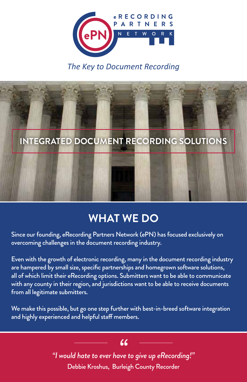

### *The Key to Document Recording*



### **WHAT WE DO**

Since our founding, eRecording Partners Network (ePN) has focused exclusively on overcoming challenges in the document recording industry.

Even with the growth of electronic recording, many in the document recording industry are hampered by small size, specific partnerships and homegrown software solutions, all of which limit their eRecording options. Submitters want to be able to communicate with any county in their region, and jurisdictions want to be able to receive documents from all legitimate submitters.

We make this possible, but go one step further with best-in-breed software integration and highly experienced and helpful staff members.

> *"I would hate to ever have to give up eRecording!" "* Debbie Kroshus, Burleigh County Recorder